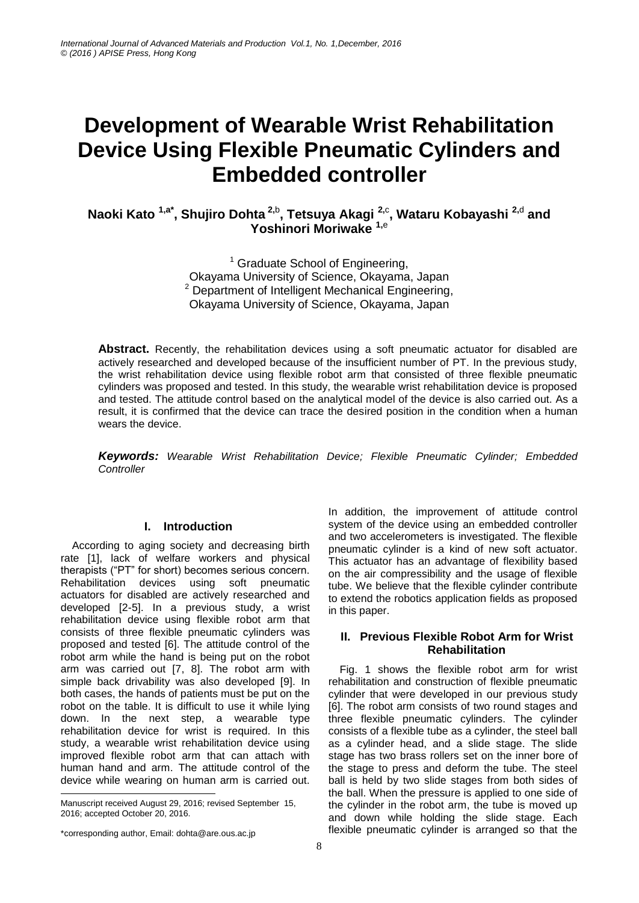# **Development of Wearable Wrist Rehabilitation Device Using Flexible Pneumatic Cylinders and Embedded controller**

**Naoki Kato 1,a\* , Shujiro Dohta 2,**<sup>b</sup> **, Tetsuya Akagi 2,**<sup>c</sup> **, Wataru Kobayashi 2,**<sup>d</sup> **and Yoshinori Moriwake 1,**<sup>e</sup>

> $1$  Graduate School of Engineering, Okayama University of Science, Okayama, Japan  $2$  Department of Intelligent Mechanical Engineering, Okayama University of Science, Okayama, Japan

**Abstract.** Recently, the rehabilitation devices using a soft pneumatic actuator for disabled are actively researched and developed because of the insufficient number of PT. In the previous study, the wrist rehabilitation device using flexible robot arm that consisted of three flexible pneumatic cylinders was proposed and tested. In this study, the wearable wrist rehabilitation device is proposed and tested. The attitude control based on the analytical model of the device is also carried out. As a result, it is confirmed that the device can trace the desired position in the condition when a human wears the device.

*Keywords: Wearable Wrist Rehabilitation Device; Flexible Pneumatic Cylinder; Embedded Controller*

# **I. Introduction**

According to aging society and decreasing birth rate [1], lack of welfare workers and physical therapists ("PT" for short) becomes serious concern. Rehabilitation devices using soft pneumatic actuators for disabled are actively researched and developed [2-5]. In a previous study, a wrist rehabilitation device using flexible robot arm that consists of three flexible pneumatic cylinders was proposed and tested [6]. The attitude control of the robot arm while the hand is being put on the robot arm was carried out [7, 8]. The robot arm with simple back drivability was also developed [9]. In both cases, the hands of patients must be put on the robot on the table. It is difficult to use it while lying down. In the next step, a wearable type rehabilitation device for wrist is required. In this study, a wearable wrist rehabilitation device using improved flexible robot arm that can attach with human hand and arm. The attitude control of the device while wearing on human arm is carried out. -

In addition, the improvement of attitude control system of the device using an embedded controller and two accelerometers is investigated. The flexible pneumatic cylinder is a kind of new soft actuator. This actuator has an advantage of flexibility based on the air compressibility and the usage of flexible tube. We believe that the flexible cylinder contribute to extend the robotics application fields as proposed in this paper.

### **II. Previous Flexible Robot Arm for Wrist Rehabilitation**

Fig. 1 shows the flexible robot arm for wrist rehabilitation and construction of flexible pneumatic cylinder that were developed in our previous study [6]. The robot arm consists of two round stages and three flexible pneumatic cylinders. The cylinder consists of a flexible tube as a cylinder, the steel ball as a cylinder head, and a slide stage. The slide stage has two brass rollers set on the inner bore of the stage to press and deform the tube. The steel ball is held by two slide stages from both sides of the ball. When the pressure is applied to one side of the cylinder in the robot arm, the tube is moved up and down while holding the slide stage. Each flexible pneumatic cylinder is arranged so that the

Manuscript received August 29, 2016; revised September 15, 2016; accepted October 20, 2016.

<sup>\*</sup>corresponding author, Email: dohta@are.ous.ac.jp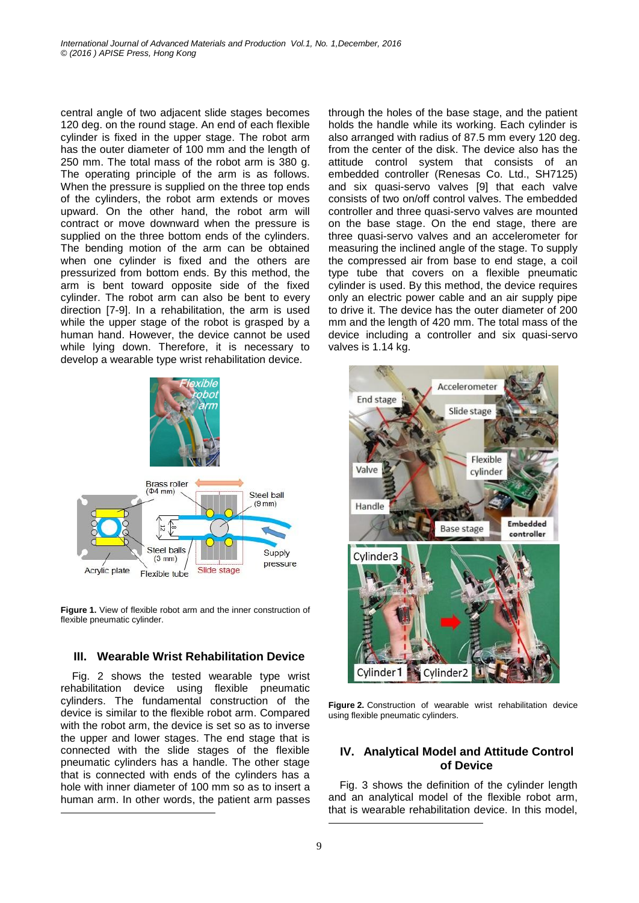central angle of two adjacent slide stages becomes 120 deg. on the round stage. An end of each flexible cylinder is fixed in the upper stage. The robot arm has the outer diameter of 100 mm and the length of 250 mm. The total mass of the robot arm is 380 g. The operating principle of the arm is as follows. When the pressure is supplied on the three top ends of the cylinders, the robot arm extends or moves upward. On the other hand, the robot arm will contract or move downward when the pressure is supplied on the three bottom ends of the cylinders. The bending motion of the arm can be obtained when one cylinder is fixed and the others are pressurized from bottom ends. By this method, the arm is bent toward opposite side of the fixed cylinder. The robot arm can also be bent to every direction [7-9]. In a rehabilitation, the arm is used while the upper stage of the robot is grasped by a human hand. However, the device cannot be used while lying down. Therefore, it is necessary to develop a wearable type wrist rehabilitation device.



**Figure 1.** View of flexible robot arm and the inner construction of flexible pneumatic cylinder.

# **III. Wearable Wrist Rehabilitation Device**

Fig. 2 shows the tested wearable type wrist rehabilitation device using flexible pneumatic cylinders. The fundamental construction of the device is similar to the flexible robot arm. Compared with the robot arm, the device is set so as to inverse the upper and lower stages. The end stage that is connected with the slide stages of the flexible pneumatic cylinders has a handle. The other stage that is connected with ends of the cylinders has a hole with inner diameter of 100 mm so as to insert a human arm. In other words, the patient arm passes

1

through the holes of the base stage, and the patient holds the handle while its working. Each cylinder is also arranged with radius of 87.5 mm every 120 deg. from the center of the disk. The device also has the attitude control system that consists of an embedded controller (Renesas Co. Ltd., SH7125) and six quasi-servo valves [9] that each valve consists of two on/off control valves. The embedded controller and three quasi-servo valves are mounted on the base stage. On the end stage, there are three quasi-servo valves and an accelerometer for measuring the inclined angle of the stage. To supply the compressed air from base to end stage, a coil type tube that covers on a flexible pneumatic cylinder is used. By this method, the device requires only an electric power cable and an air supply pipe to drive it. The device has the outer diameter of 200 mm and the length of 420 mm. The total mass of the device including a controller and six quasi-servo valves is 1.14 kg.



Figure 2. Construction of wearable wrist rehabilitation device using flexible pneumatic cylinders.

# **IV. Analytical Model and Attitude Control of Device**

Fig. 3 shows the definition of the cylinder length and an analytical model of the flexible robot arm, that is wearable rehabilitation device. In this model,  $\overline{a}$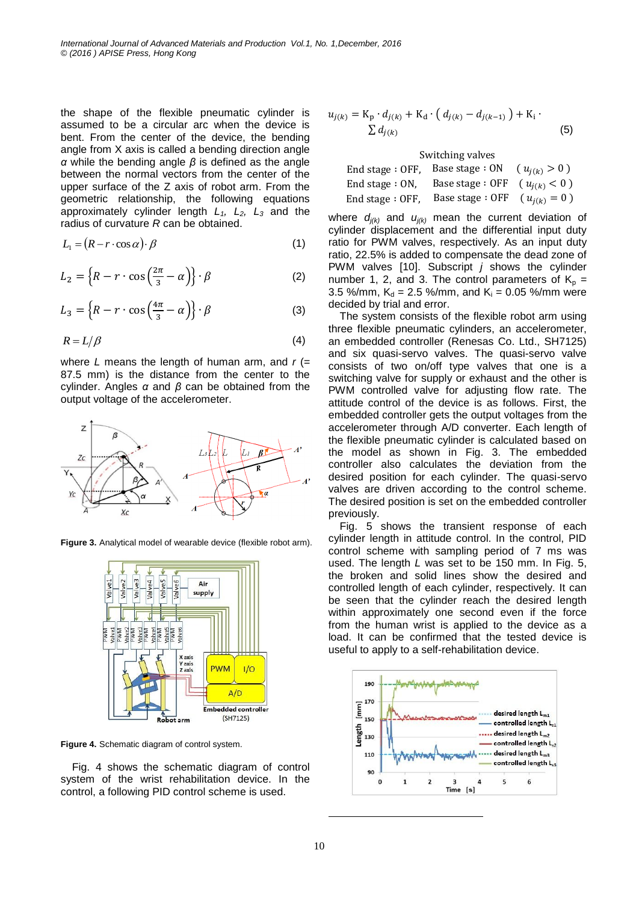the shape of the flexible pneumatic cylinder is assumed to be a circular arc when the device is bent. From the center of the device, the bending angle from X axis is called a bending direction angle *α* while the bending angle *β* is defined as the angle between the normal vectors from the center of the upper surface of the Z axis of robot arm. From the geometric relationship, the following equations approximately cylinder length *L1, L2, L<sup>3</sup>* and the radius of curvature *R* can be obtained.

$$
L_1 = (R - r \cdot \cos \alpha) \cdot \beta \tag{1}
$$

$$
L_2 = \left\{ R - r \cdot \cos\left(\frac{2\pi}{3} - \alpha\right) \right\} \cdot \beta \tag{2}
$$

$$
L_3 = \left\{ R - r \cdot \cos\left(\frac{4\pi}{3} - \alpha\right) \right\} \cdot \beta \tag{3}
$$

$$
R = L/\beta \tag{4}
$$

where *L* means the length of human arm, and *r* (= 87.5 mm) is the distance from the center to the cylinder. Angles *α* and *β* can be obtained from the output voltage of the accelerometer.



**Figure 3.** Analytical model of wearable device (flexible robot arm).



**Figure 4.** Schematic diagram of control system.

Fig. 4 shows the schematic diagram of control system of the wrist rehabilitation device. In the control, a following PID control scheme is used.

$$
u_{j(k)} = \mathbf{K}_{\mathbf{p}} \cdot d_{j(k)} + \mathbf{K}_{\mathbf{d}} \cdot (d_{j(k)} - d_{j(k-1)}) + \mathbf{K}_{\mathbf{i}} \cdot \nabla d_{j(k)}
$$
(5)

Switching valves

|                    | End stage : OFF, Base stage : $ON$ | $(u_{i(k)} > 0)$ |
|--------------------|------------------------------------|------------------|
| End stage $: ON$ , | Base stage : OFF $(u_{i(k)} < 0)$  |                  |
| End stage $:$ OFF, | Base stage: OFF                    | $(u_{j(k)} = 0)$ |

where  $d_{i(k)}$  and  $u_{i(k)}$  mean the current deviation of cylinder displacement and the differential input duty ratio for PWM valves, respectively. As an input duty ratio, 22.5% is added to compensate the dead zone of PWM valves [10]. Subscript *j* shows the cylinder number 1, 2, and 3. The control parameters of  $K_p =$ 3.5 %/mm,  $K_d = 2.5$  %/mm, and  $K_i = 0.05$  %/mm were decided by trial and error.

The system consists of the flexible robot arm using three flexible pneumatic cylinders, an accelerometer, an embedded controller (Renesas Co. Ltd., SH7125) and six quasi-servo valves. The quasi-servo valve consists of two on/off type valves that one is a switching valve for supply or exhaust and the other is PWM controlled valve for adjusting flow rate. The attitude control of the device is as follows. First, the embedded controller gets the output voltages from the accelerometer through A/D converter. Each length of the flexible pneumatic cylinder is calculated based on the model as shown in Fig. 3. The embedded controller also calculates the deviation from the desired position for each cylinder. The quasi-servo valves are driven according to the control scheme. The desired position is set on the embedded controller previously.

Fig. 5 shows the transient response of each cylinder length in attitude control. In the control, PID control scheme with sampling period of 7 ms was used. The length *L* was set to be 150 mm. In Fig. 5, the broken and solid lines show the desired and controlled length of each cylinder, respectively. It can be seen that the cylinder reach the desired length within approximately one second even if the force from the human wrist is applied to the device as a load. It can be confirmed that the tested device is useful to apply to a self-rehabilitation device.



 $\overline{a}$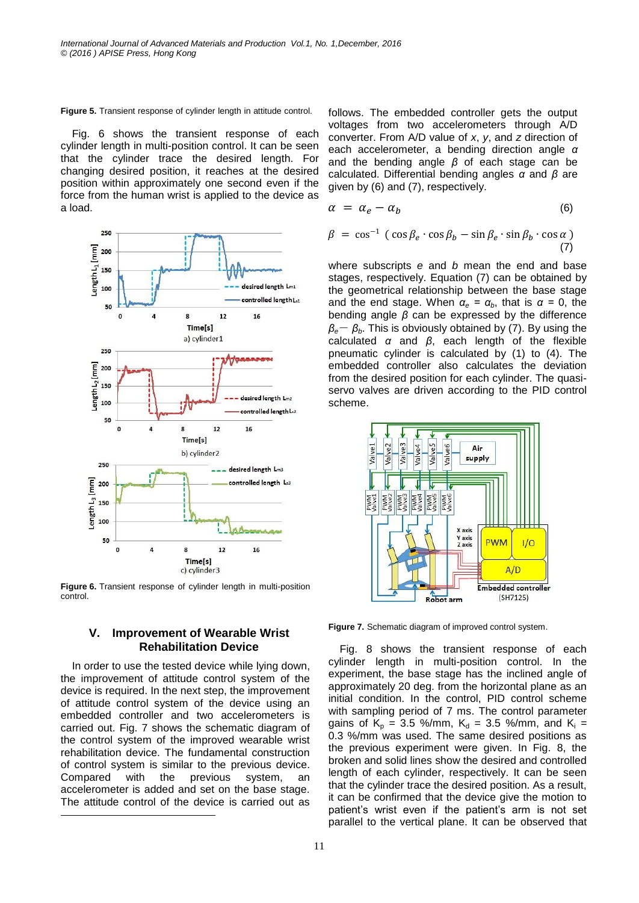**Figure 5.** Transient response of cylinder length in attitude control.

Fig. 6 shows the transient response of each cylinder length in multi-position control. It can be seen that the cylinder trace the desired length. For changing desired position, it reaches at the desired position within approximately one second even if the force from the human wrist is applied to the device as a load.



**Figure 6.** Transient response of cylinder length in multi-position control.

#### **V. Improvement of Wearable Wrist Rehabilitation Device**

In order to use the tested device while lying down, the improvement of attitude control system of the device is required. In the next step, the improvement of attitude control system of the device using an embedded controller and two accelerometers is carried out. Fig. 7 shows the schematic diagram of the control system of the improved wearable wrist rehabilitation device. The fundamental construction of control system is similar to the previous device. Compared with the previous system, an accelerometer is added and set on the base stage. The attitude control of the device is carried out as -

follows. The embedded controller gets the output voltages from two accelerometers through A/D converter. From A/D value of *x*, *y*, and *z* direction of each accelerometer, a bending direction angle *α* and the bending angle *β* of each stage can be calculated. Differential bending angles *α* and *β* are given by (6) and (7), respectively.

$$
\alpha = \alpha_e - \alpha_b \tag{6}
$$

$$
\beta = \cos^{-1} (\cos \beta_e \cdot \cos \beta_b - \sin \beta_e \cdot \sin \beta_b \cdot \cos \alpha)
$$
\n(7)

where subscripts *e* and *b* mean the end and base stages, respectively. Equation (7) can be obtained by the geometrical relationship between the base stage and the end stage. When  $\alpha_e = \alpha_b$ , that is  $\alpha = 0$ , the bending angle *β* can be expressed by the difference *βe*- *βb*. This is obviously obtained by (7). By using the calculated *α* and *β*, each length of the flexible pneumatic cylinder is calculated by (1) to (4). The embedded controller also calculates the deviation from the desired position for each cylinder. The quasiservo valves are driven according to the PID control scheme.



**Figure 7.** Schematic diagram of improved control system.

Fig. 8 shows the transient response of each cylinder length in multi-position control. In the experiment, the base stage has the inclined angle of approximately 20 deg. from the horizontal plane as an initial condition. In the control, PID control scheme with sampling period of 7 ms. The control parameter gains of  $K_p = 3.5$  %/mm,  $K_d = 3.5$  %/mm, and  $K_i =$ 0.3 %/mm was used. The same desired positions as the previous experiment were given. In Fig. 8, the broken and solid lines show the desired and controlled length of each cylinder, respectively. It can be seen that the cylinder trace the desired position. As a result, it can be confirmed that the device give the motion to patient's wrist even if the patient's arm is not set parallel to the vertical plane. It can be observed that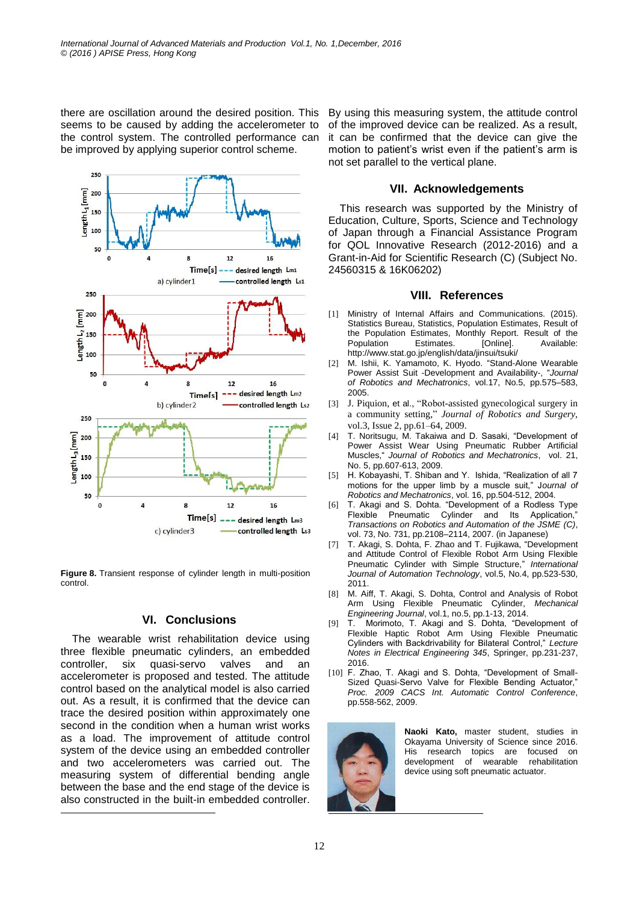there are oscillation around the desired position. This seems to be caused by adding the accelerometer to the control system. The controlled performance can be improved by applying superior control scheme.



**Figure 8.** Transient response of cylinder length in multi-position control.

# **VI. Conclusions**

The wearable wrist rehabilitation device using three flexible pneumatic cylinders, an embedded controller, six quasi-servo valves and an accelerometer is proposed and tested. The attitude control based on the analytical model is also carried out. As a result, it is confirmed that the device can trace the desired position within approximately one second in the condition when a human wrist works as a load. The improvement of attitude control system of the device using an embedded controller and two accelerometers was carried out. The measuring system of differential bending angle between the base and the end stage of the device is also constructed in the built-in embedded controller.

1

By using this measuring system, the attitude control of the improved device can be realized. As a result, it can be confirmed that the device can give the motion to patient's wrist even if the patient's arm is not set parallel to the vertical plane.

### **VII. Acknowledgements**

This research was supported by the Ministry of Education, Culture, Sports, Science and Technology of Japan through a Financial Assistance Program for QOL Innovative Research (2012-2016) and a Grant-in-Aid for Scientific Research (C) (Subject No. 24560315 & 16K06202)

# **VIII. References**

- [1] Ministry of Internal Affairs and Communications. (2015). Statistics Bureau, Statistics, Population Estimates, Result of the Population Estimates, Monthly Report. Result of the Population Estimates. [Online]. Available: http://www.stat.go.jp/english/data/jinsui/tsuki/
- [2] M. Ishii, K. Yamamoto, K. Hyodo. "Stand-Alone Wearable Power Assist Suit -Development and Availability-, "*Journal of Robotics and Mechatronics*, vol.17, No.5, pp.575–583, 2005.
- [3] J. Piquion, et al., "Robot-assisted gynecological surgery in a community setting," *Journal of Robotics and Surgery,* vol.3, Issue 2, pp.61–64, 2009.
- [4] T. Noritsugu, M. Takaiwa and D. Sasaki, "Development of Power Assist Wear Using Pneumatic Rubber Artificial Muscles," *Journal of Robotics and Mechatronics*, vol. 21, No. 5, pp.607-613, 2009.
- [5] H. Kobayashi, T. Shiban and Y. Ishida, "Realization of all 7 motions for the upper limb by a muscle suit," J*ournal of Robotics and Mechatronics*, vol. 16, pp.504-512, 2004.
- [6] T. Akagi and S. Dohta. "Development of a Rodless Type Flexible Pneumatic Cylinder and Its Application, *Transactions on Robotics and Automation of the JSME (C)*, vol. 73, No. 731, pp.2108–2114, 2007. (in Japanese)
- [7] T. Akagi, S. Dohta, F. Zhao and T. Fujikawa, "Development and Attitude Control of Flexible Robot Arm Using Flexible Pneumatic Cylinder with Simple Structure," *International Journal of Automation Technology*, vol.5, No.4, pp.523-530, 2011.
- [8] M. Aiff, T. Akagi, S. Dohta, Control and Analysis of Robot Arm Using Flexible Pneumatic Cylinder, *Mechanical Engineering Journal*, vol.1, no.5, pp.1-13, 2014.
- [9] T. Morimoto, T. Akagi and S. Dohta, "Development of Flexible Haptic Robot Arm Using Flexible Pneumatic Cylinders with Backdrivability for Bilateral Control," *Lecture Notes in Electrical Engineering 345*, Springer, pp.231-237, 2016.
- [10] F. Zhao, T. Akagi and S. Dohta, "Development of Small-Sized Quasi-Servo Valve for Flexible Bending Actuator," *Proc. 2009 CACS Int. Automatic Control Conference*, pp.558-562, 2009.



**Naoki Kato,** master student, studies in Okayama University of Science since 2016. His research topics are focused on development of wearable rehabilitation device using soft pneumatic actuator.